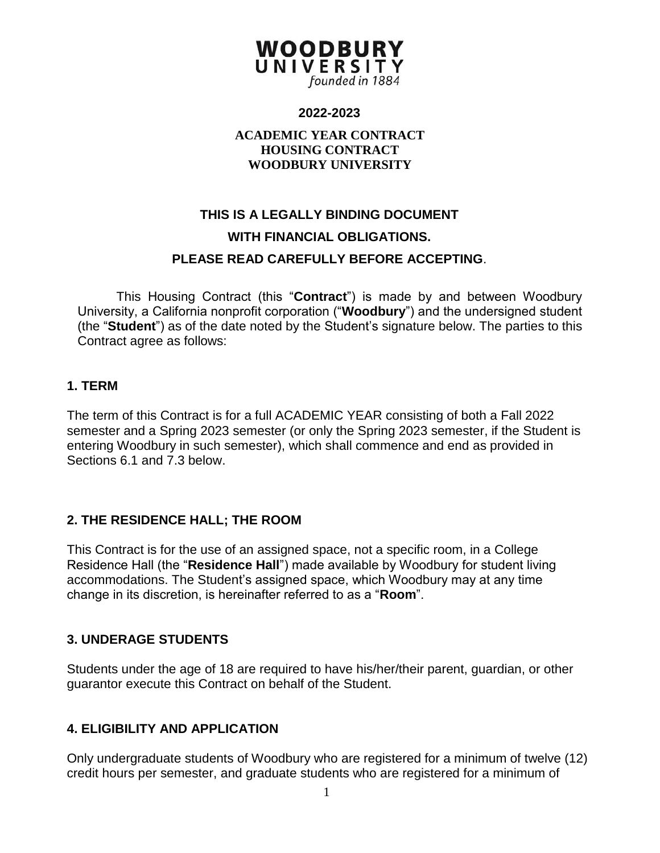#### **2022-2023**

#### **ACADEMIC YEAR CONTRACT HOUSING CONTRACT WOODBURY UNIVERSITY**

# **THIS IS A LEGALLY BINDING DOCUMENT WITH FINANCIAL OBLIGATIONS. PLEASE READ CAREFULLY BEFORE ACCEPTING**.

This Housing Contract (this "**Contract**") is made by and between Woodbury University, a California nonprofit corporation ("**Woodbury**") and the undersigned student (the "**Student**") as of the date noted by the Student's signature below. The parties to this Contract agree as follows:

#### **1. TERM**

The term of this Contract is for a full ACADEMIC YEAR consisting of both a Fall 2022 semester and a Spring 2023 semester (or only the Spring 2023 semester, if the Student is entering Woodbury in such semester), which shall commence and end as provided in Sections 6.1 and 7.3 below.

#### **2. THE RESIDENCE HALL; THE ROOM**

This Contract is for the use of an assigned space, not a specific room, in a College Residence Hall (the "**Residence Hall**") made available by Woodbury for student living accommodations. The Student's assigned space, which Woodbury may at any time change in its discretion, is hereinafter referred to as a "**Room**".

#### **3. UNDERAGE STUDENTS**

Students under the age of 18 are required to have his/her/their parent, guardian, or other guarantor execute this Contract on behalf of the Student.

#### **4. ELIGIBILITY AND APPLICATION**

Only undergraduate students of Woodbury who are registered for a minimum of twelve (12) credit hours per semester, and graduate students who are registered for a minimum of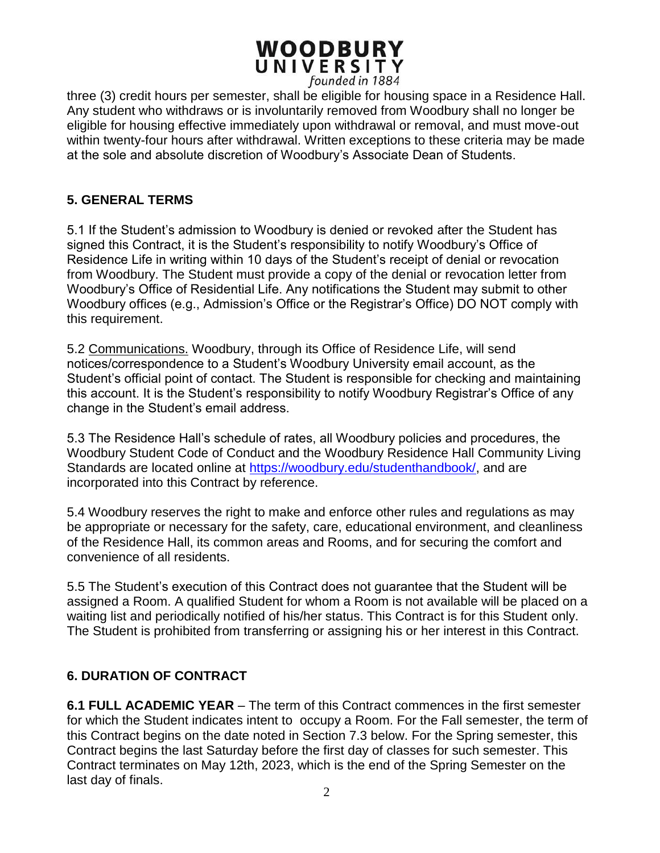three (3) credit hours per semester, shall be eligible for housing space in a Residence Hall. Any student who withdraws or is involuntarily removed from Woodbury shall no longer be eligible for housing effective immediately upon withdrawal or removal, and must move-out within twenty-four hours after withdrawal. Written exceptions to these criteria may be made at the sole and absolute discretion of Woodbury's Associate Dean of Students.

#### **5. GENERAL TERMS**

5.1 If the Student's admission to Woodbury is denied or revoked after the Student has signed this Contract, it is the Student's responsibility to notify Woodbury's Office of Residence Life in writing within 10 days of the Student's receipt of denial or revocation from Woodbury. The Student must provide a copy of the denial or revocation letter from Woodbury's Office of Residential Life. Any notifications the Student may submit to other Woodbury offices (e.g., Admission's Office or the Registrar's Office) DO NOT comply with this requirement.

5.2 Communications. Woodbury, through its Office of Residence Life, will send notices/correspondence to a Student's Woodbury University email account, as the Student's official point of contact. The Student is responsible for checking and maintaining this account. It is the Student's responsibility to notify Woodbury Registrar's Office of any change in the Student's email address.

5.3 The Residence Hall's schedule of rates, all Woodbury policies and procedures, the Woodbury Student Code of Conduct and the Woodbury Residence Hall Community Living Standards are located online at [https://woodbury.edu/studenthandbook/,](https://woodbury.edu/studenthandbook/) and are incorporated into this Contract by reference.

5.4 Woodbury reserves the right to make and enforce other rules and regulations as may be appropriate or necessary for the safety, care, educational environment, and cleanliness of the Residence Hall, its common areas and Rooms, and for securing the comfort and convenience of all residents.

5.5 The Student's execution of this Contract does not guarantee that the Student will be assigned a Room. A qualified Student for whom a Room is not available will be placed on a waiting list and periodically notified of his/her status. This Contract is for this Student only. The Student is prohibited from transferring or assigning his or her interest in this Contract.

#### **6. DURATION OF CONTRACT**

**6.1 FULL ACADEMIC YEAR** – The term of this Contract commences in the first semester for which the Student indicates intent to occupy a Room. For the Fall semester, the term of this Contract begins on the date noted in Section 7.3 below. For the Spring semester, this Contract begins the last Saturday before the first day of classes for such semester. This Contract terminates on May 12th, 2023, which is the end of the Spring Semester on the last day of finals.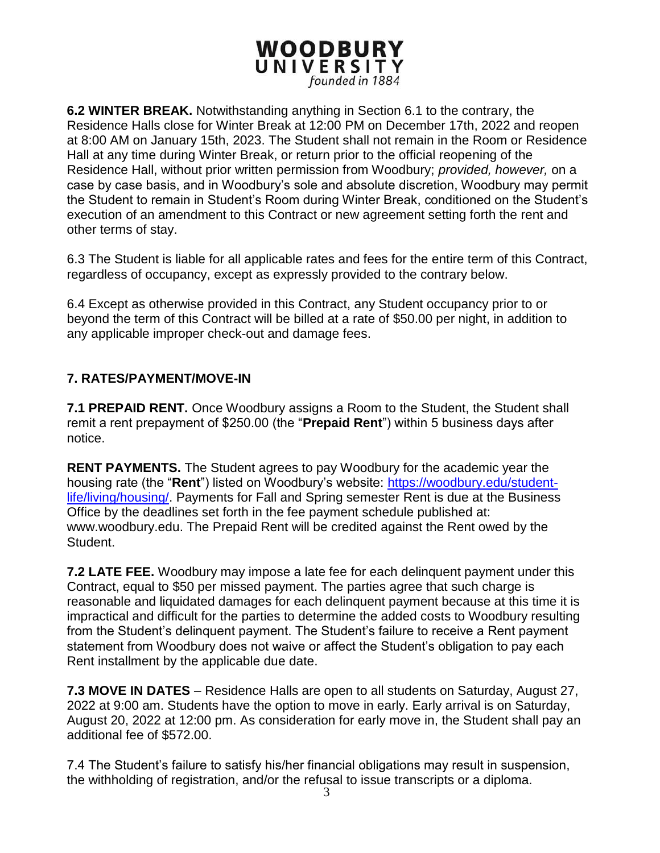**6.2 WINTER BREAK.** Notwithstanding anything in Section 6.1 to the contrary, the Residence Halls close for Winter Break at 12:00 PM on December 17th, 2022 and reopen at 8:00 AM on January 15th, 2023. The Student shall not remain in the Room or Residence Hall at any time during Winter Break, or return prior to the official reopening of the Residence Hall, without prior written permission from Woodbury; *provided, however,* on a case by case basis, and in Woodbury's sole and absolute discretion, Woodbury may permit the Student to remain in Student's Room during Winter Break, conditioned on the Student's execution of an amendment to this Contract or new agreement setting forth the rent and other terms of stay.

6.3 The Student is liable for all applicable rates and fees for the entire term of this Contract, regardless of occupancy, except as expressly provided to the contrary below.

6.4 Except as otherwise provided in this Contract, any Student occupancy prior to or beyond the term of this Contract will be billed at a rate of \$50.00 per night, in addition to any applicable improper check-out and damage fees.

#### **7. RATES/PAYMENT/MOVE-IN**

**7.1 PREPAID RENT.** Once Woodbury assigns a Room to the Student, the Student shall remit a rent prepayment of \$250.00 (the "**Prepaid Rent**") within 5 business days after notice.

**RENT PAYMENTS.** The Student agrees to pay Woodbury for the academic year the housing rate (the "**Rent**") listed on Woodbury's website: [https://woodbury.edu/student](https://woodbury.edu/student-life/living/housing/)[life/living/housing/.](https://woodbury.edu/student-life/living/housing/) Payments for Fall and Spring semester Rent is due at the Business Office by the deadlines set forth in the fee payment schedule published at: www.woodbury.edu. The Prepaid Rent will be credited against the Rent owed by the Student.

**7.2 LATE FEE.** Woodbury may impose a late fee for each delinquent payment under this Contract, equal to \$50 per missed payment. The parties agree that such charge is reasonable and liquidated damages for each delinquent payment because at this time it is impractical and difficult for the parties to determine the added costs to Woodbury resulting from the Student's delinquent payment. The Student's failure to receive a Rent payment statement from Woodbury does not waive or affect the Student's obligation to pay each Rent installment by the applicable due date.

**7.3 MOVE IN DATES** – Residence Halls are open to all students on Saturday, August 27, 2022 at 9:00 am. Students have the option to move in early. Early arrival is on Saturday, August 20, 2022 at 12:00 pm. As consideration for early move in, the Student shall pay an additional fee of \$572.00.

7.4 The Student's failure to satisfy his/her financial obligations may result in suspension, the withholding of registration, and/or the refusal to issue transcripts or a diploma.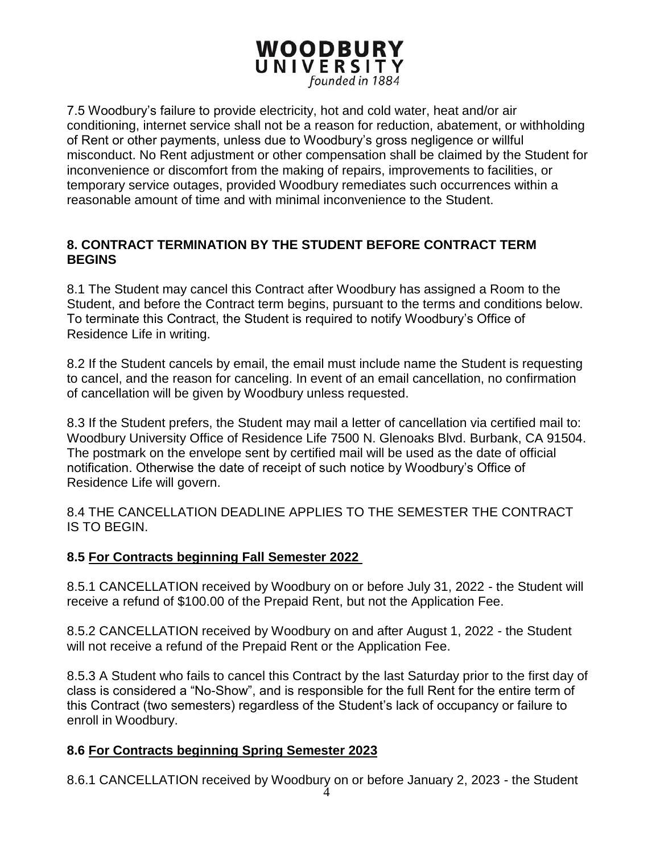7.5 Woodbury's failure to provide electricity, hot and cold water, heat and/or air conditioning, internet service shall not be a reason for reduction, abatement, or withholding of Rent or other payments, unless due to Woodbury's gross negligence or willful misconduct. No Rent adjustment or other compensation shall be claimed by the Student for inconvenience or discomfort from the making of repairs, improvements to facilities, or temporary service outages, provided Woodbury remediates such occurrences within a reasonable amount of time and with minimal inconvenience to the Student.

#### **8. CONTRACT TERMINATION BY THE STUDENT BEFORE CONTRACT TERM BEGINS**

8.1 The Student may cancel this Contract after Woodbury has assigned a Room to the Student, and before the Contract term begins, pursuant to the terms and conditions below. To terminate this Contract, the Student is required to notify Woodbury's Office of Residence Life in writing.

8.2 If the Student cancels by email, the email must include name the Student is requesting to cancel, and the reason for canceling. In event of an email cancellation, no confirmation of cancellation will be given by Woodbury unless requested.

8.3 If the Student prefers, the Student may mail a letter of cancellation via certified mail to: Woodbury University Office of Residence Life 7500 N. Glenoaks Blvd. Burbank, CA 91504. The postmark on the envelope sent by certified mail will be used as the date of official notification. Otherwise the date of receipt of such notice by Woodbury's Office of Residence Life will govern.

8.4 THE CANCELLATION DEADLINE APPLIES TO THE SEMESTER THE CONTRACT IS TO BEGIN.

#### **8.5 For Contracts beginning Fall Semester 2022**

8.5.1 CANCELLATION received by Woodbury on or before July 31, 2022 - the Student will receive a refund of \$100.00 of the Prepaid Rent, but not the Application Fee.

8.5.2 CANCELLATION received by Woodbury on and after August 1, 2022 - the Student will not receive a refund of the Prepaid Rent or the Application Fee.

8.5.3 A Student who fails to cancel this Contract by the last Saturday prior to the first day of class is considered a "No-Show", and is responsible for the full Rent for the entire term of this Contract (two semesters) regardless of the Student's lack of occupancy or failure to enroll in Woodbury.

### **8.6 For Contracts beginning Spring Semester 2023**

8.6.1 CANCELLATION received by Woodbury on or before January 2, 2023 - the Student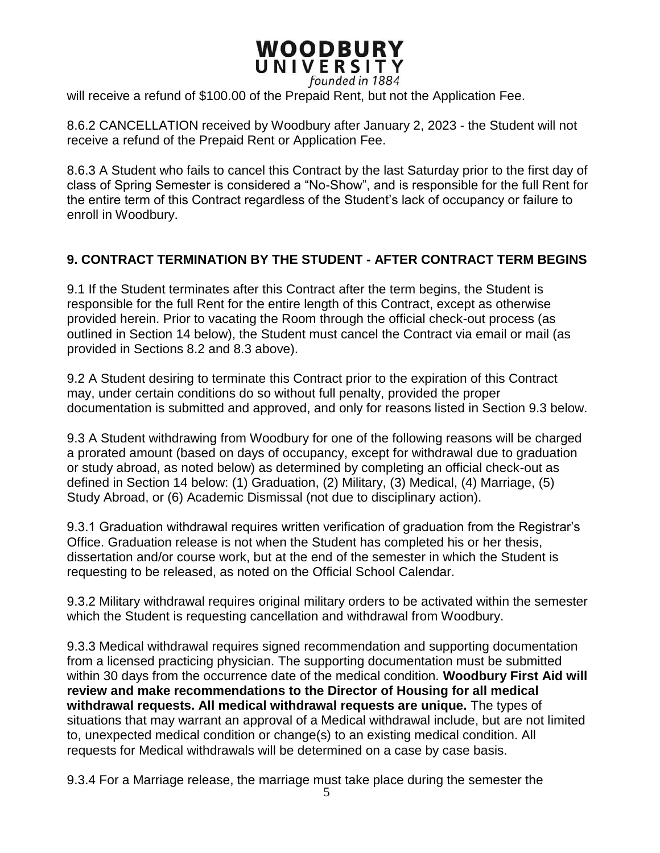will receive a refund of \$100.00 of the Prepaid Rent, but not the Application Fee.

8.6.2 CANCELLATION received by Woodbury after January 2, 2023 - the Student will not receive a refund of the Prepaid Rent or Application Fee.

8.6.3 A Student who fails to cancel this Contract by the last Saturday prior to the first day of class of Spring Semester is considered a "No-Show", and is responsible for the full Rent for the entire term of this Contract regardless of the Student's lack of occupancy or failure to enroll in Woodbury.

#### **9. CONTRACT TERMINATION BY THE STUDENT - AFTER CONTRACT TERM BEGINS**

9.1 If the Student terminates after this Contract after the term begins, the Student is responsible for the full Rent for the entire length of this Contract, except as otherwise provided herein. Prior to vacating the Room through the official check-out process (as outlined in Section 14 below), the Student must cancel the Contract via email or mail (as provided in Sections 8.2 and 8.3 above).

9.2 A Student desiring to terminate this Contract prior to the expiration of this Contract may, under certain conditions do so without full penalty, provided the proper documentation is submitted and approved, and only for reasons listed in Section 9.3 below.

9.3 A Student withdrawing from Woodbury for one of the following reasons will be charged a prorated amount (based on days of occupancy, except for withdrawal due to graduation or study abroad, as noted below) as determined by completing an official check-out as defined in Section 14 below: (1) Graduation, (2) Military, (3) Medical, (4) Marriage, (5) Study Abroad, or (6) Academic Dismissal (not due to disciplinary action).

9.3.1 Graduation withdrawal requires written verification of graduation from the Registrar's Office. Graduation release is not when the Student has completed his or her thesis, dissertation and/or course work, but at the end of the semester in which the Student is requesting to be released, as noted on the Official School Calendar.

9.3.2 Military withdrawal requires original military orders to be activated within the semester which the Student is requesting cancellation and withdrawal from Woodbury.

9.3.3 Medical withdrawal requires signed recommendation and supporting documentation from a licensed practicing physician. The supporting documentation must be submitted within 30 days from the occurrence date of the medical condition. **Woodbury First Aid will review and make recommendations to the Director of Housing for all medical withdrawal requests. All medical withdrawal requests are unique.** The types of situations that may warrant an approval of a Medical withdrawal include, but are not limited to, unexpected medical condition or change(s) to an existing medical condition. All requests for Medical withdrawals will be determined on a case by case basis.

9.3.4 For a Marriage release, the marriage must take place during the semester the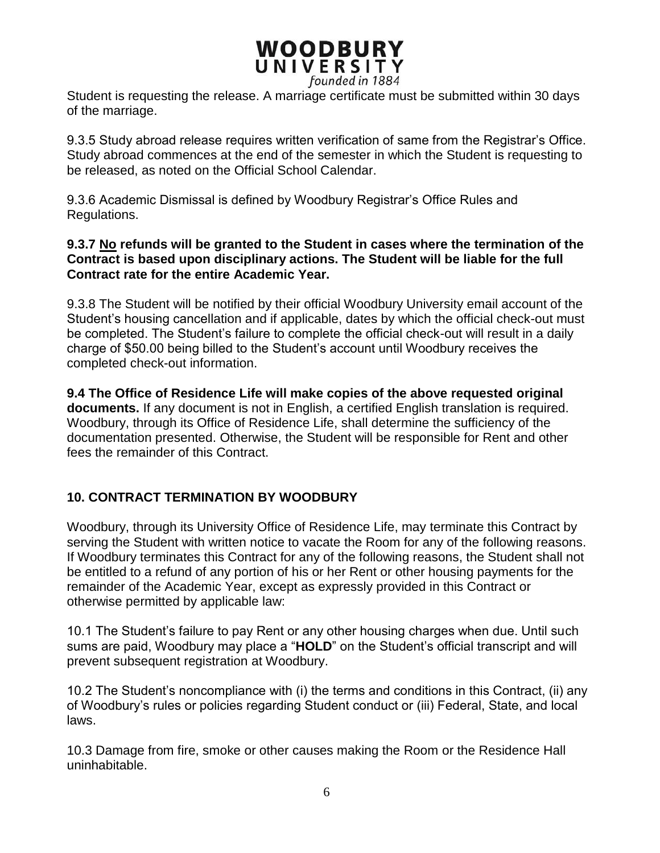Student is requesting the release. A marriage certificate must be submitted within 30 days of the marriage.

9.3.5 Study abroad release requires written verification of same from the Registrar's Office. Study abroad commences at the end of the semester in which the Student is requesting to be released, as noted on the Official School Calendar.

9.3.6 Academic Dismissal is defined by Woodbury Registrar's Office Rules and Regulations.

#### **9.3.7 No refunds will be granted to the Student in cases where the termination of the Contract is based upon disciplinary actions. The Student will be liable for the full Contract rate for the entire Academic Year.**

9.3.8 The Student will be notified by their official Woodbury University email account of the Student's housing cancellation and if applicable, dates by which the official check-out must be completed. The Student's failure to complete the official check-out will result in a daily charge of \$50.00 being billed to the Student's account until Woodbury receives the completed check-out information.

**9.4 The Office of Residence Life will make copies of the above requested original documents.** If any document is not in English, a certified English translation is required. Woodbury, through its Office of Residence Life, shall determine the sufficiency of the documentation presented. Otherwise, the Student will be responsible for Rent and other fees the remainder of this Contract.

### **10. CONTRACT TERMINATION BY WOODBURY**

Woodbury, through its University Office of Residence Life, may terminate this Contract by serving the Student with written notice to vacate the Room for any of the following reasons. If Woodbury terminates this Contract for any of the following reasons, the Student shall not be entitled to a refund of any portion of his or her Rent or other housing payments for the remainder of the Academic Year, except as expressly provided in this Contract or otherwise permitted by applicable law:

10.1 The Student's failure to pay Rent or any other housing charges when due. Until such sums are paid, Woodbury may place a "**HOLD**" on the Student's official transcript and will prevent subsequent registration at Woodbury.

10.2 The Student's noncompliance with (i) the terms and conditions in this Contract, (ii) any of Woodbury's rules or policies regarding Student conduct or (iii) Federal, State, and local laws.

10.3 Damage from fire, smoke or other causes making the Room or the Residence Hall uninhabitable.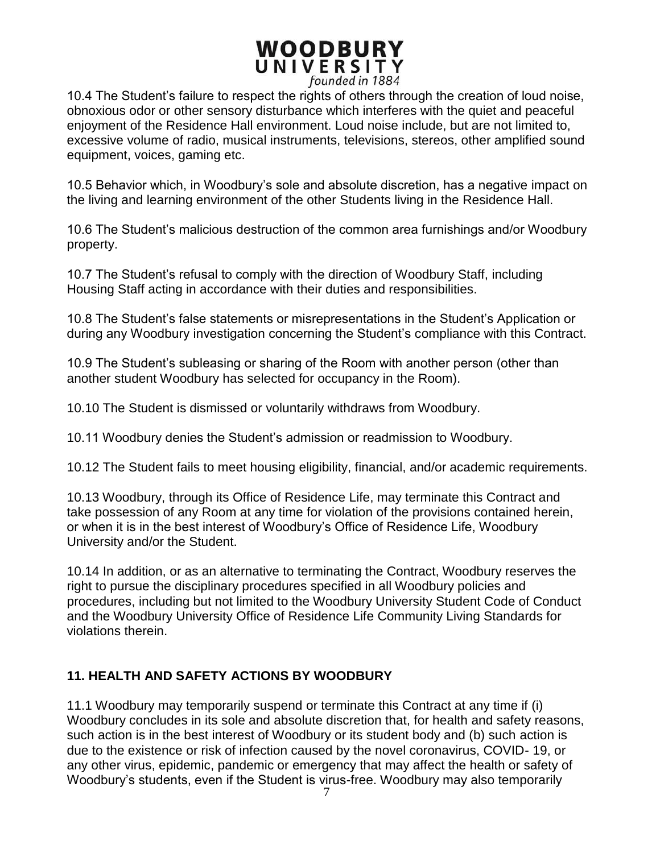10.4 The Student's failure to respect the rights of others through the creation of loud noise, obnoxious odor or other sensory disturbance which interferes with the quiet and peaceful enjoyment of the Residence Hall environment. Loud noise include, but are not limited to, excessive volume of radio, musical instruments, televisions, stereos, other amplified sound equipment, voices, gaming etc.

10.5 Behavior which, in Woodbury's sole and absolute discretion, has a negative impact on the living and learning environment of the other Students living in the Residence Hall.

10.6 The Student's malicious destruction of the common area furnishings and/or Woodbury property.

10.7 The Student's refusal to comply with the direction of Woodbury Staff, including Housing Staff acting in accordance with their duties and responsibilities.

10.8 The Student's false statements or misrepresentations in the Student's Application or during any Woodbury investigation concerning the Student's compliance with this Contract.

10.9 The Student's subleasing or sharing of the Room with another person (other than another student Woodbury has selected for occupancy in the Room).

10.10 The Student is dismissed or voluntarily withdraws from Woodbury.

10.11 Woodbury denies the Student's admission or readmission to Woodbury.

10.12 The Student fails to meet housing eligibility, financial, and/or academic requirements.

10.13 Woodbury, through its Office of Residence Life, may terminate this Contract and take possession of any Room at any time for violation of the provisions contained herein, or when it is in the best interest of Woodbury's Office of Residence Life, Woodbury University and/or the Student.

10.14 In addition, or as an alternative to terminating the Contract, Woodbury reserves the right to pursue the disciplinary procedures specified in all Woodbury policies and procedures, including but not limited to the Woodbury University Student Code of Conduct and the Woodbury University Office of Residence Life Community Living Standards for violations therein.

#### **11. HEALTH AND SAFETY ACTIONS BY WOODBURY**

11.1 Woodbury may temporarily suspend or terminate this Contract at any time if (i) Woodbury concludes in its sole and absolute discretion that, for health and safety reasons, such action is in the best interest of Woodbury or its student body and (b) such action is due to the existence or risk of infection caused by the novel coronavirus, COVID- 19, or any other virus, epidemic, pandemic or emergency that may affect the health or safety of Woodbury's students, even if the Student is virus-free. Woodbury may also temporarily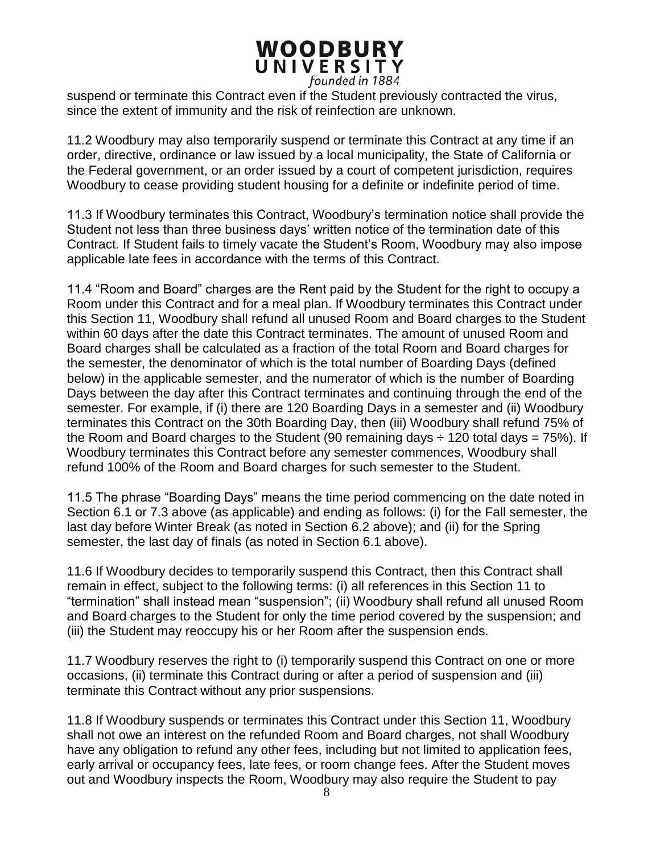suspend or terminate this Contract even if the Student previously contracted the virus, since the extent of immunity and the risk of reinfection are unknown.

11.2 Woodbury may also temporarily suspend or terminate this Contract at any time if an order, directive, ordinance or law issued by a local municipality, the State of California or the Federal government, or an order issued by a court of competent jurisdiction, requires Woodbury to cease providing student housing for a definite or indefinite period of time.

11.3 If Woodbury terminates this Contract, Woodbury's termination notice shall provide the Student not less than three business days' written notice of the termination date of this Contract. If Student fails to timely vacate the Student's Room, Woodbury may also impose applicable late fees in accordance with the terms of this Contract.

11.4 "Room and Board" charges are the Rent paid by the Student for the right to occupy a Room under this Contract and for a meal plan. If Woodbury terminates this Contract under this Section 11, Woodbury shall refund all unused Room and Board charges to the Student within 60 days after the date this Contract terminates. The amount of unused Room and Board charges shall be calculated as a fraction of the total Room and Board charges for the semester, the denominator of which is the total number of Boarding Days (defined below) in the applicable semester, and the numerator of which is the number of Boarding Days between the day after this Contract terminates and continuing through the end of the semester. For example, if (i) there are 120 Boarding Days in a semester and (ii) Woodbury terminates this Contract on the 30th Boarding Day, then (iii) Woodbury shall refund 75% of the Room and Board charges to the Student (90 remaining days  $\div$  120 total days = 75%). If Woodbury terminates this Contract before any semester commences, Woodbury shall refund 100% of the Room and Board charges for such semester to the Student.

11.5 The phrase "Boarding Days" means the time period commencing on the date noted in Section 6.1 or 7.3 above (as applicable) and ending as follows: (i) for the Fall semester, the last day before Winter Break (as noted in Section 6.2 above); and (ii) for the Spring semester, the last day of finals (as noted in Section 6.1 above).

11.6 If Woodbury decides to temporarily suspend this Contract, then this Contract shall remain in effect, subject to the following terms: (i) all references in this Section 11 to "termination" shall instead mean "suspension"; (ii) Woodbury shall refund all unused Room and Board charges to the Student for only the time period covered by the suspension; and (iii) the Student may reoccupy his or her Room after the suspension ends.

11.7 Woodbury reserves the right to (i) temporarily suspend this Contract on one or more occasions, (ii) terminate this Contract during or after a period of suspension and (iii) terminate this Contract without any prior suspensions.

11.8 If Woodbury suspends or terminates this Contract under this Section 11, Woodbury shall not owe an interest on the refunded Room and Board charges, not shall Woodbury have any obligation to refund any other fees, including but not limited to application fees, early arrival or occupancy fees, late fees, or room change fees. After the Student moves out and Woodbury inspects the Room, Woodbury may also require the Student to pay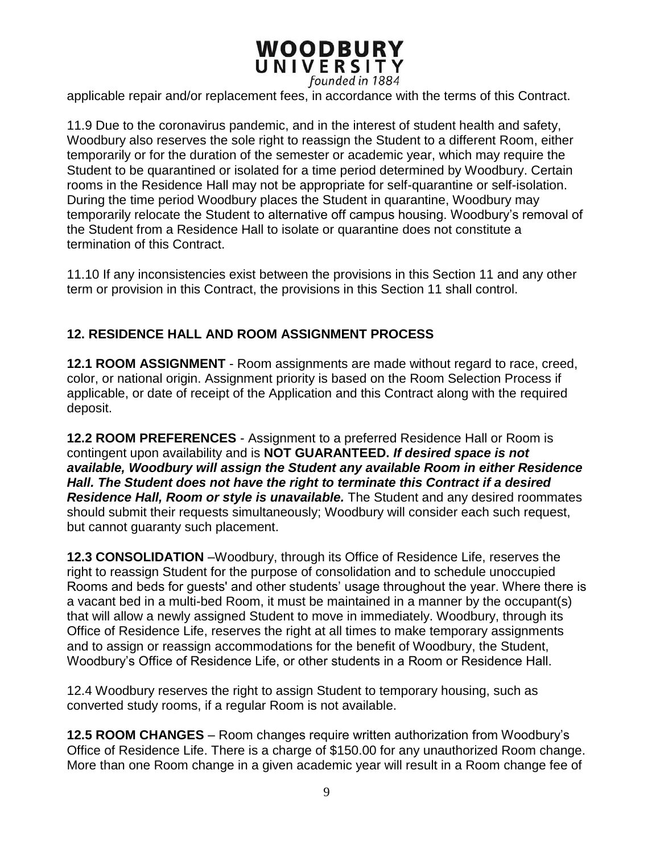applicable repair and/or replacement fees, in accordance with the terms of this Contract.

11.9 Due to the coronavirus pandemic, and in the interest of student health and safety, Woodbury also reserves the sole right to reassign the Student to a different Room, either temporarily or for the duration of the semester or academic year, which may require the Student to be quarantined or isolated for a time period determined by Woodbury. Certain rooms in the Residence Hall may not be appropriate for self-quarantine or self-isolation. During the time period Woodbury places the Student in quarantine, Woodbury may temporarily relocate the Student to alternative off campus housing. Woodbury's removal of the Student from a Residence Hall to isolate or quarantine does not constitute a termination of this Contract.

11.10 If any inconsistencies exist between the provisions in this Section 11 and any other term or provision in this Contract, the provisions in this Section 11 shall control.

#### **12. RESIDENCE HALL AND ROOM ASSIGNMENT PROCESS**

**12.1 ROOM ASSIGNMENT** - Room assignments are made without regard to race, creed, color, or national origin. Assignment priority is based on the Room Selection Process if applicable, or date of receipt of the Application and this Contract along with the required deposit.

**12.2 ROOM PREFERENCES** - Assignment to a preferred Residence Hall or Room is contingent upon availability and is **NOT GUARANTEED.** *If desired space is not available, Woodbury will assign the Student any available Room in either Residence Hall. The Student does not have the right to terminate this Contract if a desired Residence Hall, Room or style is unavailable.* The Student and any desired roommates should submit their requests simultaneously; Woodbury will consider each such request, but cannot guaranty such placement.

**12.3 CONSOLIDATION** –Woodbury, through its Office of Residence Life, reserves the right to reassign Student for the purpose of consolidation and to schedule unoccupied Rooms and beds for guests' and other students' usage throughout the year. Where there is a vacant bed in a multi-bed Room, it must be maintained in a manner by the occupant(s) that will allow a newly assigned Student to move in immediately. Woodbury, through its Office of Residence Life, reserves the right at all times to make temporary assignments and to assign or reassign accommodations for the benefit of Woodbury, the Student, Woodbury's Office of Residence Life, or other students in a Room or Residence Hall.

12.4 Woodbury reserves the right to assign Student to temporary housing, such as converted study rooms, if a regular Room is not available.

**12.5 ROOM CHANGES** – Room changes require written authorization from Woodbury's Office of Residence Life. There is a charge of \$150.00 for any unauthorized Room change. More than one Room change in a given academic year will result in a Room change fee of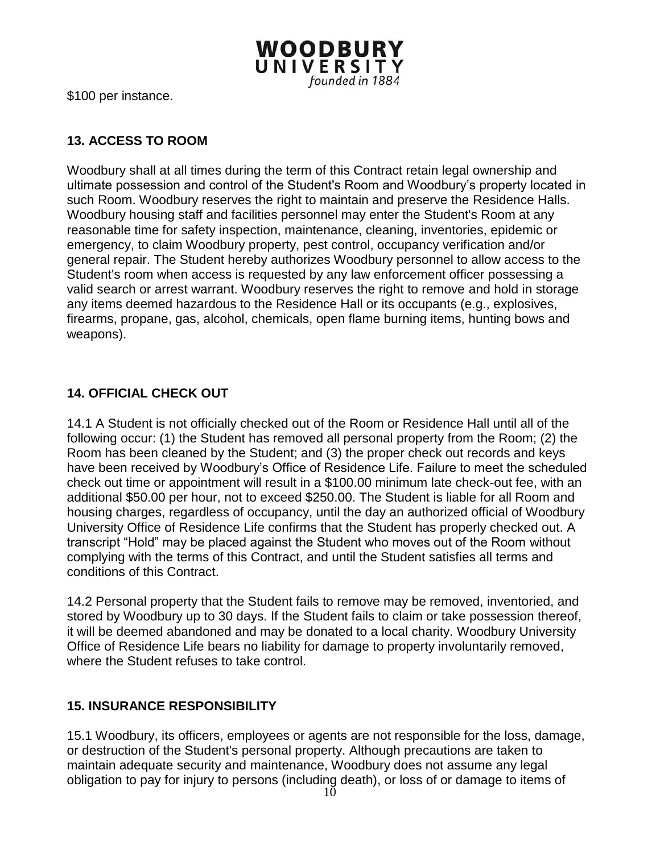

\$100 per instance.

#### **13. ACCESS TO ROOM**

Woodbury shall at all times during the term of this Contract retain legal ownership and ultimate possession and control of the Student's Room and Woodbury's property located in such Room. Woodbury reserves the right to maintain and preserve the Residence Halls. Woodbury housing staff and facilities personnel may enter the Student's Room at any reasonable time for safety inspection, maintenance, cleaning, inventories, epidemic or emergency, to claim Woodbury property, pest control, occupancy verification and/or general repair. The Student hereby authorizes Woodbury personnel to allow access to the Student's room when access is requested by any law enforcement officer possessing a valid search or arrest warrant. Woodbury reserves the right to remove and hold in storage any items deemed hazardous to the Residence Hall or its occupants (e.g., explosives, firearms, propane, gas, alcohol, chemicals, open flame burning items, hunting bows and weapons).

#### **14. OFFICIAL CHECK OUT**

14.1 A Student is not officially checked out of the Room or Residence Hall until all of the following occur: (1) the Student has removed all personal property from the Room; (2) the Room has been cleaned by the Student; and (3) the proper check out records and keys have been received by Woodbury's Office of Residence Life. Failure to meet the scheduled check out time or appointment will result in a \$100.00 minimum late check-out fee, with an additional \$50.00 per hour, not to exceed \$250.00. The Student is liable for all Room and housing charges, regardless of occupancy, until the day an authorized official of Woodbury University Office of Residence Life confirms that the Student has properly checked out. A transcript "Hold" may be placed against the Student who moves out of the Room without complying with the terms of this Contract, and until the Student satisfies all terms and conditions of this Contract.

14.2 Personal property that the Student fails to remove may be removed, inventoried, and stored by Woodbury up to 30 days. If the Student fails to claim or take possession thereof, it will be deemed abandoned and may be donated to a local charity. Woodbury University Office of Residence Life bears no liability for damage to property involuntarily removed, where the Student refuses to take control.

#### **15. INSURANCE RESPONSIBILITY**

15.1 Woodbury, its officers, employees or agents are not responsible for the loss, damage, or destruction of the Student's personal property. Although precautions are taken to maintain adequate security and maintenance, Woodbury does not assume any legal obligation to pay for injury to persons (including death), or loss of or damage to items of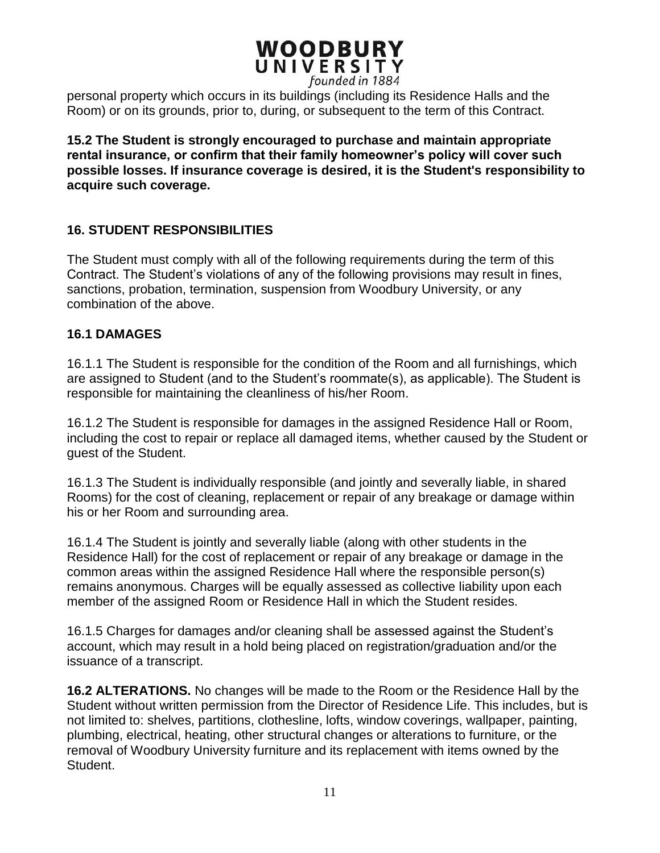personal property which occurs in its buildings (including its Residence Halls and the Room) or on its grounds, prior to, during, or subsequent to the term of this Contract.

**15.2 The Student is strongly encouraged to purchase and maintain appropriate rental insurance, or confirm that their family homeowner's policy will cover such possible losses. If insurance coverage is desired, it is the Student's responsibility to acquire such coverage.**

#### **16. STUDENT RESPONSIBILITIES**

The Student must comply with all of the following requirements during the term of this Contract. The Student's violations of any of the following provisions may result in fines, sanctions, probation, termination, suspension from Woodbury University, or any combination of the above.

#### **16.1 DAMAGES**

16.1.1 The Student is responsible for the condition of the Room and all furnishings, which are assigned to Student (and to the Student's roommate(s), as applicable). The Student is responsible for maintaining the cleanliness of his/her Room.

16.1.2 The Student is responsible for damages in the assigned Residence Hall or Room, including the cost to repair or replace all damaged items, whether caused by the Student or guest of the Student.

16.1.3 The Student is individually responsible (and jointly and severally liable, in shared Rooms) for the cost of cleaning, replacement or repair of any breakage or damage within his or her Room and surrounding area.

16.1.4 The Student is jointly and severally liable (along with other students in the Residence Hall) for the cost of replacement or repair of any breakage or damage in the common areas within the assigned Residence Hall where the responsible person(s) remains anonymous. Charges will be equally assessed as collective liability upon each member of the assigned Room or Residence Hall in which the Student resides.

16.1.5 Charges for damages and/or cleaning shall be assessed against the Student's account, which may result in a hold being placed on registration/graduation and/or the issuance of a transcript.

**16.2 ALTERATIONS.** No changes will be made to the Room or the Residence Hall by the Student without written permission from the Director of Residence Life. This includes, but is not limited to: shelves, partitions, clothesline, lofts, window coverings, wallpaper, painting, plumbing, electrical, heating, other structural changes or alterations to furniture, or the removal of Woodbury University furniture and its replacement with items owned by the Student.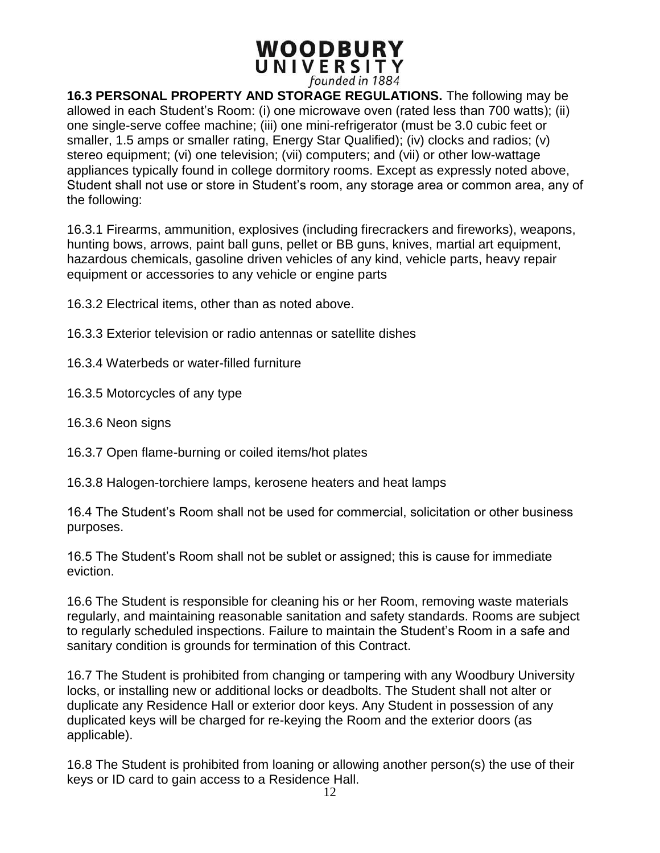**16.3 PERSONAL PROPERTY AND STORAGE REGULATIONS.** The following may be allowed in each Student's Room: (i) one microwave oven (rated less than 700 watts); (ii) one single-serve coffee machine; (iii) one mini-refrigerator (must be 3.0 cubic feet or smaller, 1.5 amps or smaller rating, Energy Star Qualified); (iv) clocks and radios; (v) stereo equipment; (vi) one television; (vii) computers; and (vii) or other low-wattage appliances typically found in college dormitory rooms. Except as expressly noted above, Student shall not use or store in Student's room, any storage area or common area, any of the following:

16.3.1 Firearms, ammunition, explosives (including firecrackers and fireworks), weapons, hunting bows, arrows, paint ball guns, pellet or BB guns, knives, martial art equipment, hazardous chemicals, gasoline driven vehicles of any kind, vehicle parts, heavy repair equipment or accessories to any vehicle or engine parts

16.3.2 Electrical items, other than as noted above.

- 16.3.3 Exterior television or radio antennas or satellite dishes
- 16.3.4 Waterbeds or water-filled furniture
- 16.3.5 Motorcycles of any type
- 16.3.6 Neon signs
- 16.3.7 Open flame-burning or coiled items/hot plates
- 16.3.8 Halogen-torchiere lamps, kerosene heaters and heat lamps

16.4 The Student's Room shall not be used for commercial, solicitation or other business purposes.

16.5 The Student's Room shall not be sublet or assigned; this is cause for immediate eviction.

16.6 The Student is responsible for cleaning his or her Room, removing waste materials regularly, and maintaining reasonable sanitation and safety standards. Rooms are subject to regularly scheduled inspections. Failure to maintain the Student's Room in a safe and sanitary condition is grounds for termination of this Contract.

16.7 The Student is prohibited from changing or tampering with any Woodbury University locks, or installing new or additional locks or deadbolts. The Student shall not alter or duplicate any Residence Hall or exterior door keys. Any Student in possession of any duplicated keys will be charged for re-keying the Room and the exterior doors (as applicable).

16.8 The Student is prohibited from loaning or allowing another person(s) the use of their keys or ID card to gain access to a Residence Hall.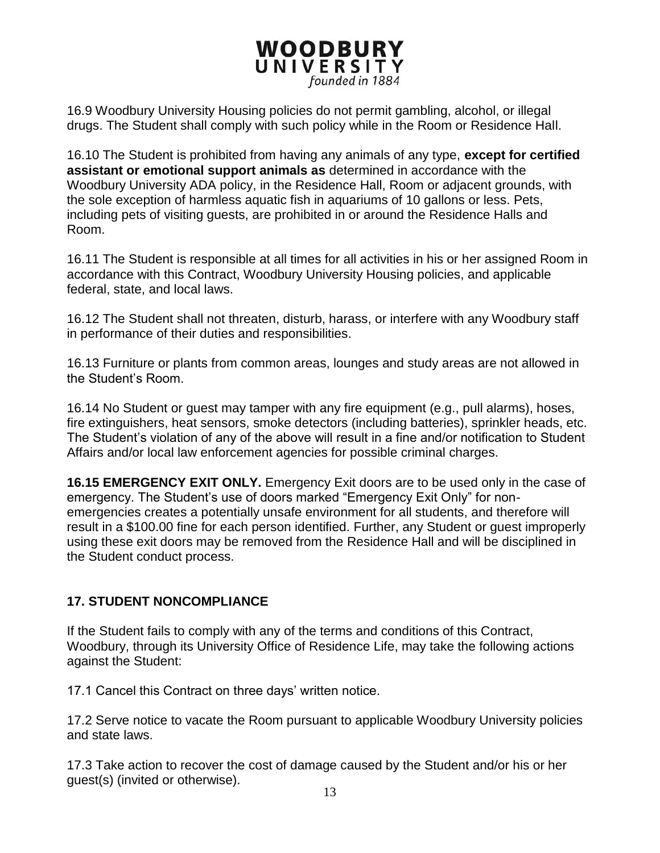16.9 Woodbury University Housing policies do not permit gambling, alcohol, or illegal drugs. The Student shall comply with such policy while in the Room or Residence Hall.

16.10 The Student is prohibited from having any animals of any type, **except for certified assistant or emotional support animals as** determined in accordance with the Woodbury University ADA policy, in the Residence Hall, Room or adjacent grounds, with the sole exception of harmless aquatic fish in aquariums of 10 gallons or less. Pets, including pets of visiting guests, are prohibited in or around the Residence Halls and Room.

16.11 The Student is responsible at all times for all activities in his or her assigned Room in accordance with this Contract, Woodbury University Housing policies, and applicable federal, state, and local laws.

16.12 The Student shall not threaten, disturb, harass, or interfere with any Woodbury staff in performance of their duties and responsibilities.

16.13 Furniture or plants from common areas, lounges and study areas are not allowed in the Student's Room.

16.14 No Student or guest may tamper with any fire equipment (e.g., pull alarms), hoses, fire extinguishers, heat sensors, smoke detectors (including batteries), sprinkler heads, etc. The Student's violation of any of the above will result in a fine and/or notification to Student Affairs and/or local law enforcement agencies for possible criminal charges.

**16.15 EMERGENCY EXIT ONLY.** Emergency Exit doors are to be used only in the case of emergency. The Student's use of doors marked "Emergency Exit Only" for nonemergencies creates a potentially unsafe environment for all students, and therefore will result in a \$100.00 fine for each person identified. Further, any Student or guest improperly using these exit doors may be removed from the Residence Hall and will be disciplined in the Student conduct process.

#### **17. STUDENT NONCOMPLIANCE**

If the Student fails to comply with any of the terms and conditions of this Contract, Woodbury, through its University Office of Residence Life, may take the following actions against the Student:

17.1 Cancel this Contract on three days' written notice.

17.2 Serve notice to vacate the Room pursuant to applicable Woodbury University policies and state laws.

17.3 Take action to recover the cost of damage caused by the Student and/or his or her guest(s) (invited or otherwise).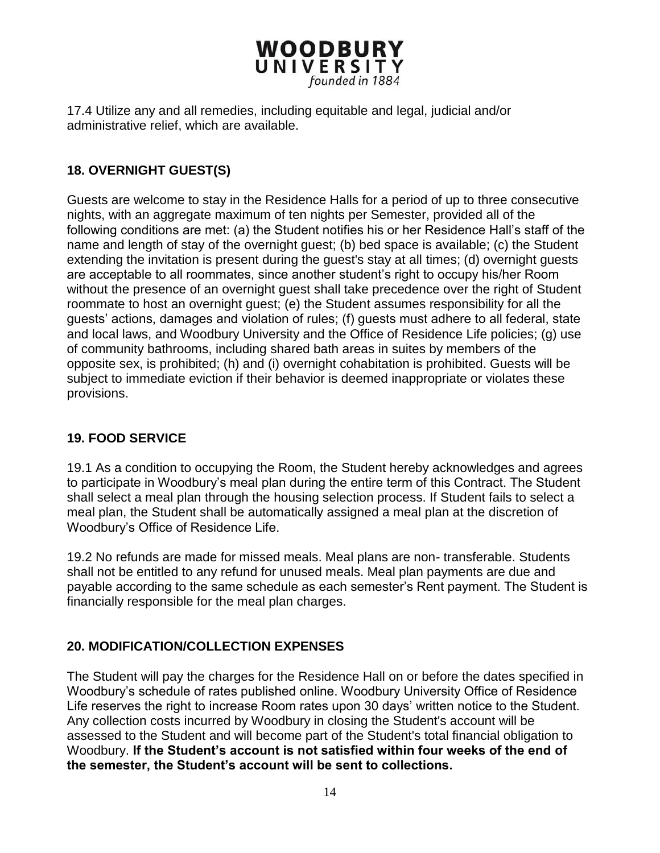17.4 Utilize any and all remedies, including equitable and legal, judicial and/or administrative relief, which are available.

## **18. OVERNIGHT GUEST(S)**

Guests are welcome to stay in the Residence Halls for a period of up to three consecutive nights, with an aggregate maximum of ten nights per Semester, provided all of the following conditions are met: (a) the Student notifies his or her Residence Hall's staff of the name and length of stay of the overnight guest; (b) bed space is available; (c) the Student extending the invitation is present during the guest's stay at all times; (d) overnight guests are acceptable to all roommates, since another student's right to occupy his/her Room without the presence of an overnight guest shall take precedence over the right of Student roommate to host an overnight guest; (e) the Student assumes responsibility for all the guests' actions, damages and violation of rules; (f) guests must adhere to all federal, state and local laws, and Woodbury University and the Office of Residence Life policies; (g) use of community bathrooms, including shared bath areas in suites by members of the opposite sex, is prohibited; (h) and (i) overnight cohabitation is prohibited. Guests will be subject to immediate eviction if their behavior is deemed inappropriate or violates these provisions.

#### **19. FOOD SERVICE**

19.1 As a condition to occupying the Room, the Student hereby acknowledges and agrees to participate in Woodbury's meal plan during the entire term of this Contract. The Student shall select a meal plan through the housing selection process. If Student fails to select a meal plan, the Student shall be automatically assigned a meal plan at the discretion of Woodbury's Office of Residence Life.

19.2 No refunds are made for missed meals. Meal plans are non- transferable. Students shall not be entitled to any refund for unused meals. Meal plan payments are due and payable according to the same schedule as each semester's Rent payment. The Student is financially responsible for the meal plan charges.

#### **20. MODIFICATION/COLLECTION EXPENSES**

The Student will pay the charges for the Residence Hall on or before the dates specified in Woodbury's schedule of rates published online. Woodbury University Office of Residence Life reserves the right to increase Room rates upon 30 days' written notice to the Student. Any collection costs incurred by Woodbury in closing the Student's account will be assessed to the Student and will become part of the Student's total financial obligation to Woodbury. **If the Student's account is not satisfied within four weeks of the end of the semester, the Student's account will be sent to collections.**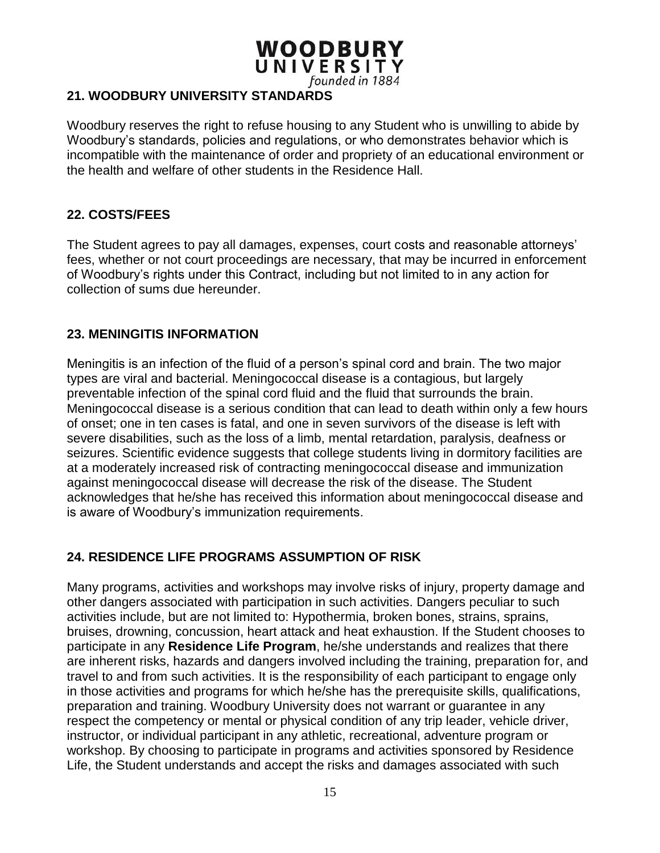# **WOODBURY** UNIVERSITY

founded in 1884

#### **21. WOODBURY UNIVERSITY STANDARDS**

Woodbury reserves the right to refuse housing to any Student who is unwilling to abide by Woodbury's standards, policies and regulations, or who demonstrates behavior which is incompatible with the maintenance of order and propriety of an educational environment or the health and welfare of other students in the Residence Hall.

#### **22. COSTS/FEES**

The Student agrees to pay all damages, expenses, court costs and reasonable attorneys' fees, whether or not court proceedings are necessary, that may be incurred in enforcement of Woodbury's rights under this Contract, including but not limited to in any action for collection of sums due hereunder.

#### **23. MENINGITIS INFORMATION**

Meningitis is an infection of the fluid of a person's spinal cord and brain. The two major types are viral and bacterial. Meningococcal disease is a contagious, but largely preventable infection of the spinal cord fluid and the fluid that surrounds the brain. Meningococcal disease is a serious condition that can lead to death within only a few hours of onset; one in ten cases is fatal, and one in seven survivors of the disease is left with severe disabilities, such as the loss of a limb, mental retardation, paralysis, deafness or seizures. Scientific evidence suggests that college students living in dormitory facilities are at a moderately increased risk of contracting meningococcal disease and immunization against meningococcal disease will decrease the risk of the disease. The Student acknowledges that he/she has received this information about meningococcal disease and is aware of Woodbury's immunization requirements.

#### **24. RESIDENCE LIFE PROGRAMS ASSUMPTION OF RISK**

Many programs, activities and workshops may involve risks of injury, property damage and other dangers associated with participation in such activities. Dangers peculiar to such activities include, but are not limited to: Hypothermia, broken bones, strains, sprains, bruises, drowning, concussion, heart attack and heat exhaustion. If the Student chooses to participate in any **Residence Life Program**, he/she understands and realizes that there are inherent risks, hazards and dangers involved including the training, preparation for, and travel to and from such activities. It is the responsibility of each participant to engage only in those activities and programs for which he/she has the prerequisite skills, qualifications, preparation and training. Woodbury University does not warrant or guarantee in any respect the competency or mental or physical condition of any trip leader, vehicle driver, instructor, or individual participant in any athletic, recreational, adventure program or workshop. By choosing to participate in programs and activities sponsored by Residence Life, the Student understands and accept the risks and damages associated with such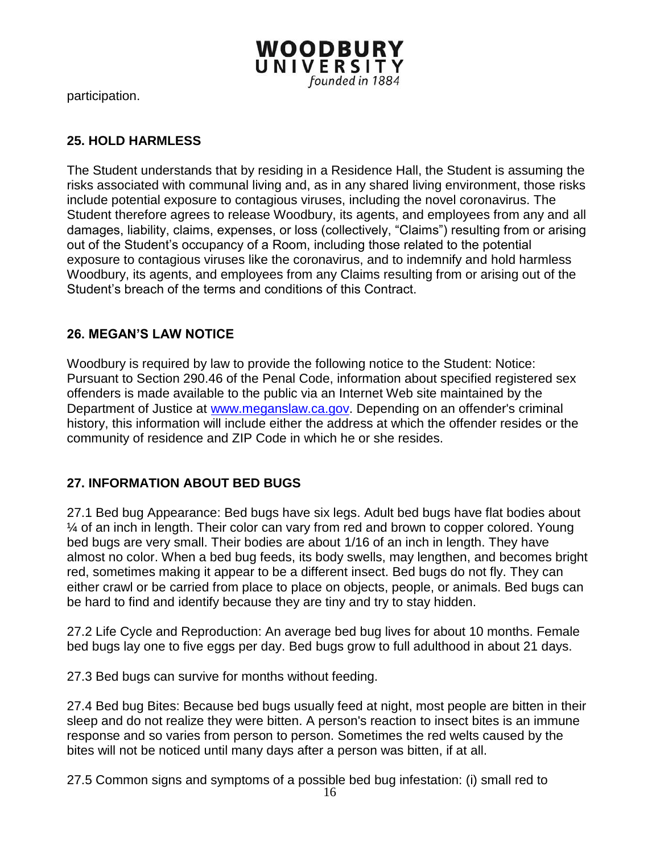

participation.

#### **25. HOLD HARMLESS**

The Student understands that by residing in a Residence Hall, the Student is assuming the risks associated with communal living and, as in any shared living environment, those risks include potential exposure to contagious viruses, including the novel coronavirus. The Student therefore agrees to release Woodbury, its agents, and employees from any and all damages, liability, claims, expenses, or loss (collectively, "Claims") resulting from or arising out of the Student's occupancy of a Room, including those related to the potential exposure to contagious viruses like the coronavirus, and to indemnify and hold harmless Woodbury, its agents, and employees from any Claims resulting from or arising out of the Student's breach of the terms and conditions of this Contract.

#### **26. MEGAN'S LAW NOTICE**

Woodbury is required by law to provide the following notice to the Student: Notice: Pursuant to Section 290.46 of the Penal Code, information about specified registered sex offenders is made available to the public via an Internet Web site maintained by the Department of Justice at [www.meganslaw.ca.gov.](http://www.meganslaw.ca.gov/) Depending on an offender's criminal history, this information will include either the address at which the offender resides or the community of residence and ZIP Code in which he or she resides.

#### **27. INFORMATION ABOUT BED BUGS**

27.1 Bed bug Appearance: Bed bugs have six legs. Adult bed bugs have flat bodies about ¼ of an inch in length. Their color can vary from red and brown to copper colored. Young bed bugs are very small. Their bodies are about 1/16 of an inch in length. They have almost no color. When a bed bug feeds, its body swells, may lengthen, and becomes bright red, sometimes making it appear to be a different insect. Bed bugs do not fly. They can either crawl or be carried from place to place on objects, people, or animals. Bed bugs can be hard to find and identify because they are tiny and try to stay hidden.

27.2 Life Cycle and Reproduction: An average bed bug lives for about 10 months. Female bed bugs lay one to five eggs per day. Bed bugs grow to full adulthood in about 21 days.

27.3 Bed bugs can survive for months without feeding.

27.4 Bed bug Bites: Because bed bugs usually feed at night, most people are bitten in their sleep and do not realize they were bitten. A person's reaction to insect bites is an immune response and so varies from person to person. Sometimes the red welts caused by the bites will not be noticed until many days after a person was bitten, if at all.

27.5 Common signs and symptoms of a possible bed bug infestation: (i) small red to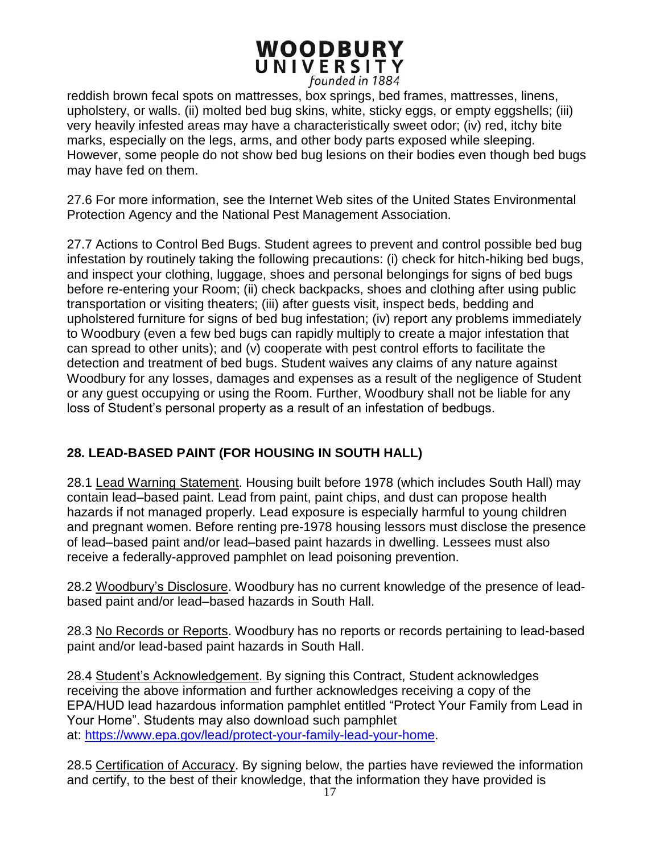reddish brown fecal spots on mattresses, box springs, bed frames, mattresses, linens, upholstery, or walls. (ii) molted bed bug skins, white, sticky eggs, or empty eggshells; (iii) very heavily infested areas may have a characteristically sweet odor; (iv) red, itchy bite marks, especially on the legs, arms, and other body parts exposed while sleeping. However, some people do not show bed bug lesions on their bodies even though bed bugs may have fed on them.

27.6 For more information, see the Internet Web sites of the United States Environmental Protection Agency and the National Pest Management Association.

27.7 Actions to Control Bed Bugs. Student agrees to prevent and control possible bed bug infestation by routinely taking the following precautions: (i) check for hitch-hiking bed bugs, and inspect your clothing, luggage, shoes and personal belongings for signs of bed bugs before re-entering your Room; (ii) check backpacks, shoes and clothing after using public transportation or visiting theaters; (iii) after guests visit, inspect beds, bedding and upholstered furniture for signs of bed bug infestation; (iv) report any problems immediately to Woodbury (even a few bed bugs can rapidly multiply to create a major infestation that can spread to other units); and (v) cooperate with pest control efforts to facilitate the detection and treatment of bed bugs. Student waives any claims of any nature against Woodbury for any losses, damages and expenses as a result of the negligence of Student or any guest occupying or using the Room. Further, Woodbury shall not be liable for any loss of Student's personal property as a result of an infestation of bedbugs.

# **28. LEAD-BASED PAINT (FOR HOUSING IN SOUTH HALL)**

28.1 Lead Warning Statement. Housing built before 1978 (which includes South Hall) may contain lead–based paint. Lead from paint, paint chips, and dust can propose health hazards if not managed properly. Lead exposure is especially harmful to young children and pregnant women. Before renting pre-1978 housing lessors must disclose the presence of lead–based paint and/or lead–based paint hazards in dwelling. Lessees must also receive a federally-approved pamphlet on lead poisoning prevention.

28.2 Woodbury's Disclosure. Woodbury has no current knowledge of the presence of leadbased paint and/or lead–based hazards in South Hall.

28.3 No Records or Reports. Woodbury has no reports or records pertaining to lead-based paint and/or lead-based paint hazards in South Hall.

28.4 Student's Acknowledgement. By signing this Contract, Student acknowledges receiving the above information and further acknowledges receiving a copy of the EPA/HUD lead hazardous information pamphlet entitled "Protect Your Family from Lead in Your Home". Students may also download such pamphlet at: [https://www.epa.gov/lead/protect-your-family-lead-your-home.](https://www.epa.gov/lead/protect-your-family-lead-your-home)

28.5 Certification of Accuracy. By signing below, the parties have reviewed the information and certify, to the best of their knowledge, that the information they have provided is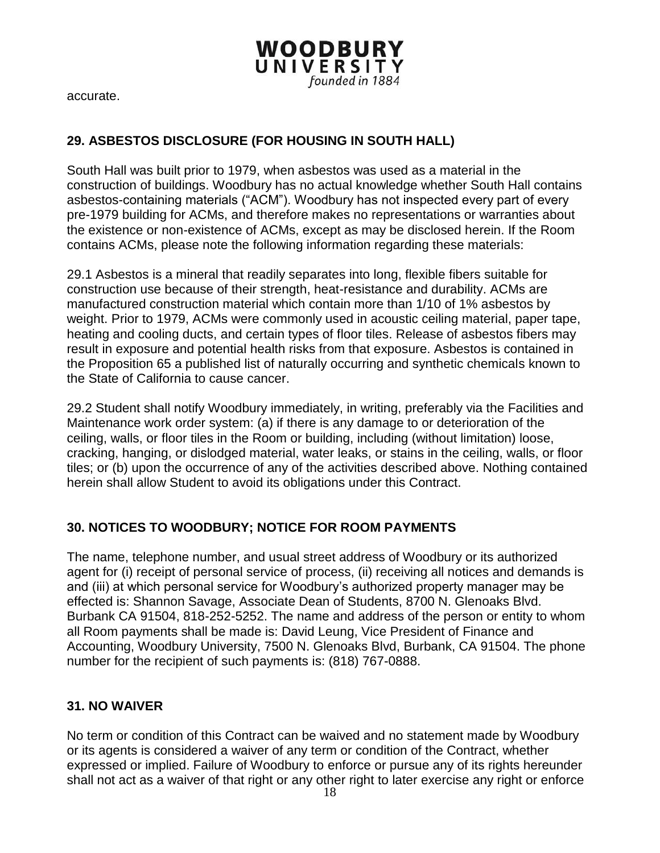accurate.

### **29. ASBESTOS DISCLOSURE (FOR HOUSING IN SOUTH HALL)**

South Hall was built prior to 1979, when asbestos was used as a material in the construction of buildings. Woodbury has no actual knowledge whether South Hall contains asbestos-containing materials ("ACM"). Woodbury has not inspected every part of every pre-1979 building for ACMs, and therefore makes no representations or warranties about the existence or non-existence of ACMs, except as may be disclosed herein. If the Room contains ACMs, please note the following information regarding these materials:

**WOODBURY** UNIVERSITY

founded in 1884

29.1 Asbestos is a mineral that readily separates into long, flexible fibers suitable for construction use because of their strength, heat-resistance and durability. ACMs are manufactured construction material which contain more than 1/10 of 1% asbestos by weight. Prior to 1979, ACMs were commonly used in acoustic ceiling material, paper tape, heating and cooling ducts, and certain types of floor tiles. Release of asbestos fibers may result in exposure and potential health risks from that exposure. Asbestos is contained in the Proposition 65 a published list of naturally occurring and synthetic chemicals known to the State of California to cause cancer.

29.2 Student shall notify Woodbury immediately, in writing, preferably via the Facilities and Maintenance work order system: (a) if there is any damage to or deterioration of the ceiling, walls, or floor tiles in the Room or building, including (without limitation) loose, cracking, hanging, or dislodged material, water leaks, or stains in the ceiling, walls, or floor tiles; or (b) upon the occurrence of any of the activities described above. Nothing contained herein shall allow Student to avoid its obligations under this Contract.

#### **30. NOTICES TO WOODBURY; NOTICE FOR ROOM PAYMENTS**

The name, telephone number, and usual street address of Woodbury or its authorized agent for (i) receipt of personal service of process, (ii) receiving all notices and demands is and (iii) at which personal service for Woodbury's authorized property manager may be effected is: Shannon Savage, Associate Dean of Students, 8700 N. Glenoaks Blvd. Burbank CA 91504, 818-252-5252. The name and address of the person or entity to whom all Room payments shall be made is: David Leung, Vice President of Finance and Accounting, Woodbury University, 7500 N. Glenoaks Blvd, Burbank, CA 91504. The phone number for the recipient of such payments is: (818) 767-0888.

#### **31. NO WAIVER**

No term or condition of this Contract can be waived and no statement made by Woodbury or its agents is considered a waiver of any term or condition of the Contract, whether expressed or implied. Failure of Woodbury to enforce or pursue any of its rights hereunder shall not act as a waiver of that right or any other right to later exercise any right or enforce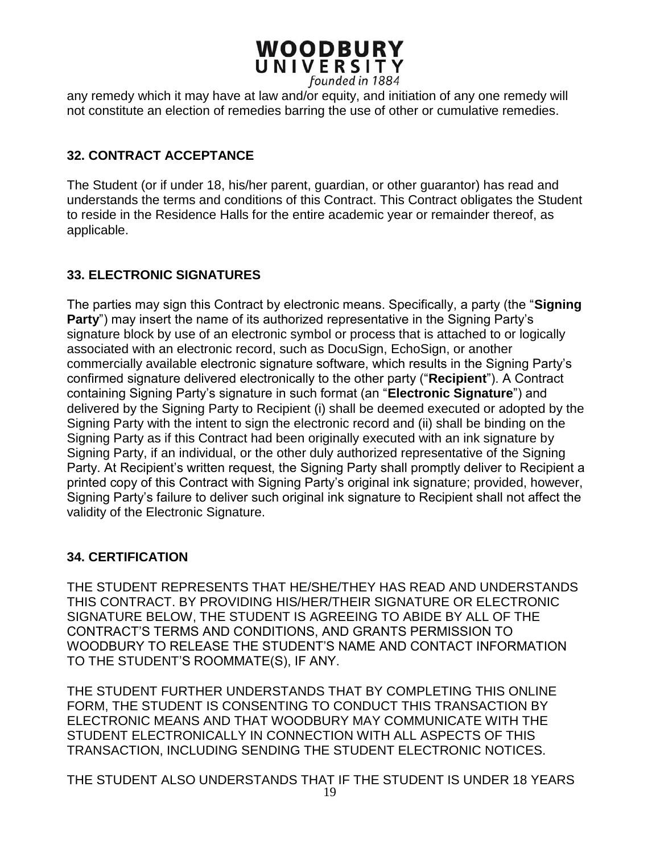any remedy which it may have at law and/or equity, and initiation of any one remedy will not constitute an election of remedies barring the use of other or cumulative remedies.

### **32. CONTRACT ACCEPTANCE**

The Student (or if under 18, his/her parent, guardian, or other guarantor) has read and understands the terms and conditions of this Contract. This Contract obligates the Student to reside in the Residence Halls for the entire academic year or remainder thereof, as applicable.

#### **33. ELECTRONIC SIGNATURES**

The parties may sign this Contract by electronic means. Specifically, a party (the "**Signing Party**") may insert the name of its authorized representative in the Signing Party's signature block by use of an electronic symbol or process that is attached to or logically associated with an electronic record, such as DocuSign, EchoSign, or another commercially available electronic signature software, which results in the Signing Party's confirmed signature delivered electronically to the other party ("**Recipient**"). A Contract containing Signing Party's signature in such format (an "**Electronic Signature**") and delivered by the Signing Party to Recipient (i) shall be deemed executed or adopted by the Signing Party with the intent to sign the electronic record and (ii) shall be binding on the Signing Party as if this Contract had been originally executed with an ink signature by Signing Party, if an individual, or the other duly authorized representative of the Signing Party. At Recipient's written request, the Signing Party shall promptly deliver to Recipient a printed copy of this Contract with Signing Party's original ink signature; provided, however, Signing Party's failure to deliver such original ink signature to Recipient shall not affect the validity of the Electronic Signature.

#### **34. CERTIFICATION**

THE STUDENT REPRESENTS THAT HE/SHE/THEY HAS READ AND UNDERSTANDS THIS CONTRACT. BY PROVIDING HIS/HER/THEIR SIGNATURE OR ELECTRONIC SIGNATURE BELOW, THE STUDENT IS AGREEING TO ABIDE BY ALL OF THE CONTRACT'S TERMS AND CONDITIONS, AND GRANTS PERMISSION TO WOODBURY TO RELEASE THE STUDENT'S NAME AND CONTACT INFORMATION TO THE STUDENT'S ROOMMATE(S), IF ANY.

THE STUDENT FURTHER UNDERSTANDS THAT BY COMPLETING THIS ONLINE FORM, THE STUDENT IS CONSENTING TO CONDUCT THIS TRANSACTION BY ELECTRONIC MEANS AND THAT WOODBURY MAY COMMUNICATE WITH THE STUDENT ELECTRONICALLY IN CONNECTION WITH ALL ASPECTS OF THIS TRANSACTION, INCLUDING SENDING THE STUDENT ELECTRONIC NOTICES.

THE STUDENT ALSO UNDERSTANDS THAT IF THE STUDENT IS UNDER 18 YEARS